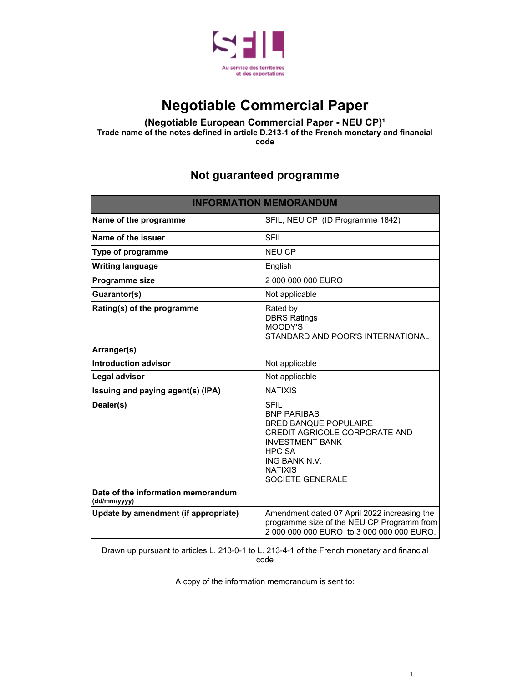

# **Negotiable Commercial Paper**

#### **(Negotiable European Commercial Paper - NEU CP)<sup>1</sup> Trade name of the notes defined in article D.213-1 of the French monetary and financial**

**code**

### **Not guaranteed programme**

| <b>INFORMATION MEMORANDUM</b>                      |                                                                                                                                                                                               |
|----------------------------------------------------|-----------------------------------------------------------------------------------------------------------------------------------------------------------------------------------------------|
| Name of the programme                              | SFIL, NEU CP (ID Programme 1842)                                                                                                                                                              |
| Name of the issuer                                 | <b>SFIL</b>                                                                                                                                                                                   |
| Type of programme                                  | <b>NEU CP</b>                                                                                                                                                                                 |
| <b>Writing language</b>                            | English                                                                                                                                                                                       |
| Programme size                                     | 2 000 000 000 EURO                                                                                                                                                                            |
| Guarantor(s)                                       | Not applicable                                                                                                                                                                                |
| Rating(s) of the programme                         | Rated by<br><b>DBRS Ratings</b><br>MOODY'S<br>STANDARD AND POOR'S INTERNATIONAL                                                                                                               |
| Arranger(s)                                        |                                                                                                                                                                                               |
| <b>Introduction advisor</b>                        | Not applicable                                                                                                                                                                                |
| Legal advisor                                      | Not applicable                                                                                                                                                                                |
| Issuing and paying agent(s) (IPA)                  | <b>NATIXIS</b>                                                                                                                                                                                |
| Dealer(s)                                          | <b>SFIL</b><br><b>BNP PARIBAS</b><br><b>BRED BANQUE POPULAIRE</b><br>CREDIT AGRICOLE CORPORATE AND<br><b>INVESTMENT BANK</b><br>HPC SA<br>ING BANK N.V.<br><b>NATIXIS</b><br>SOCIETE GENERALE |
| Date of the information memorandum<br>(dd/mm/yyyy) |                                                                                                                                                                                               |
| Update by amendment (if appropriate)               | Amendment dated 07 April 2022 increasing the<br>programme size of the NEU CP Programm from<br>2 000 000 000 EURO to 3 000 000 000 EURO.                                                       |

Drawn up pursuant to articles L. 213-0-1 to L. 213-4-1 of the French monetary and financial code

A copy of the information memorandum is sent to:

**1**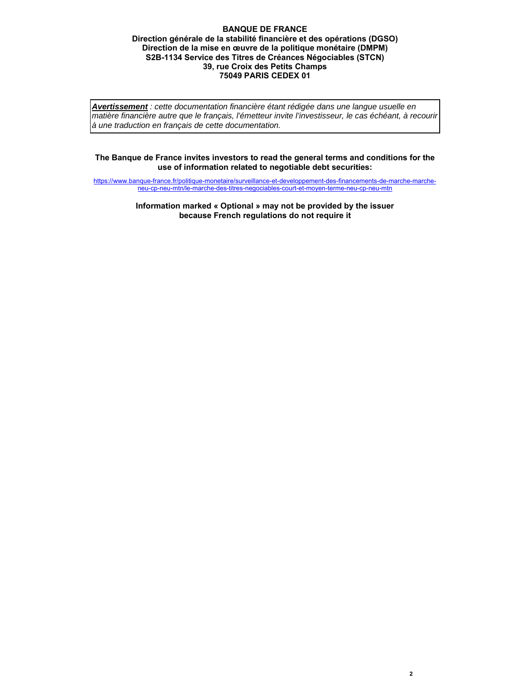#### **BANQUE DE FRANCE Direction générale de la stabilité financière et des opérations (DGSO) Direction de la mise en œuvre de la politique monétaire (DMPM) S2B-1134 Service des Titres de Créances Négociables (STCN) 39, rue Croix des Petits Champs 75049 PARIS CEDEX 01**

*Avertissement : cette documentation financière étant rédigée dans une langue usuelle en matière financière autre que le français, l'émetteur invite l'investisseur, le cas échéant, à recourir à une traduction en français de cette documentation.*

#### **The Banque de France invites investors to read the general terms and conditions for the use of information related to negotiable debt securities:**

https://www.banque-france.fr/politique-monetaire/surveillance-et-developpement-des-financements-de-marche-marcheneu-cp-neu-mtn/le-marche-des-titres-negociables-court-et-moyen-terme-neu-cp-neu-mtn

> **Information marked « Optional » may not be provided by the issuer because French regulations do not require it**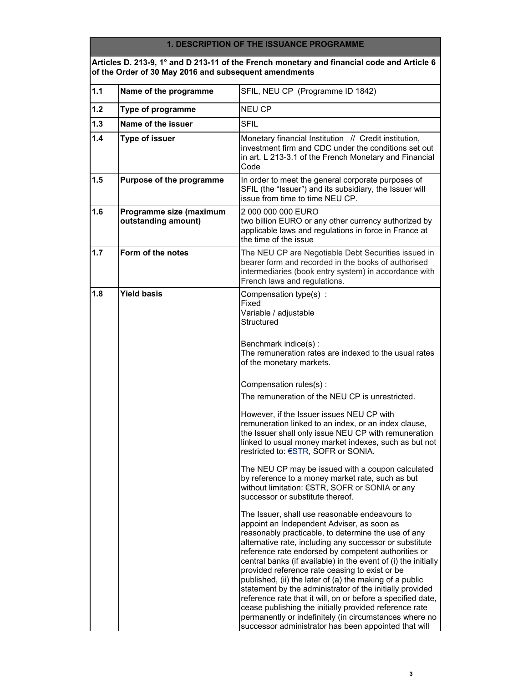#### **1. DESCRIPTION OF THE ISSUANCE PROGRAMME**

#### **Articles D. 213-9, 1° and D 213-11 of the French monetary and financial code and Article 6 of the Order of 30 May 2016 and subsequent amendments**

| $1.1$ | Name of the programme                          | SFIL, NEU CP (Programme ID 1842)                                                                                                                                                                                                                                                                                                                                                                                                                                                                                                                                                                                                                                                                                                                            |
|-------|------------------------------------------------|-------------------------------------------------------------------------------------------------------------------------------------------------------------------------------------------------------------------------------------------------------------------------------------------------------------------------------------------------------------------------------------------------------------------------------------------------------------------------------------------------------------------------------------------------------------------------------------------------------------------------------------------------------------------------------------------------------------------------------------------------------------|
| 1.2   | Type of programme                              | <b>NEU CP</b>                                                                                                                                                                                                                                                                                                                                                                                                                                                                                                                                                                                                                                                                                                                                               |
| 1.3   | Name of the issuer                             | <b>SFIL</b>                                                                                                                                                                                                                                                                                                                                                                                                                                                                                                                                                                                                                                                                                                                                                 |
| 1.4   | <b>Type of issuer</b>                          | Monetary financial Institution // Credit institution,<br>investment firm and CDC under the conditions set out<br>in art. L 213-3.1 of the French Monetary and Financial<br>Code                                                                                                                                                                                                                                                                                                                                                                                                                                                                                                                                                                             |
| 1.5   | Purpose of the programme                       | In order to meet the general corporate purposes of<br>SFIL (the "Issuer") and its subsidiary, the Issuer will<br>issue from time to time NEU CP.                                                                                                                                                                                                                                                                                                                                                                                                                                                                                                                                                                                                            |
| 1.6   | Programme size (maximum<br>outstanding amount) | 2 000 000 000 EURO<br>two billion EURO or any other currency authorized by<br>applicable laws and regulations in force in France at<br>the time of the issue                                                                                                                                                                                                                                                                                                                                                                                                                                                                                                                                                                                                |
| 1.7   | Form of the notes                              | The NEU CP are Negotiable Debt Securities issued in<br>bearer form and recorded in the books of authorised<br>intermediaries (book entry system) in accordance with<br>French laws and regulations.                                                                                                                                                                                                                                                                                                                                                                                                                                                                                                                                                         |
| 1.8   | <b>Yield basis</b>                             | Compensation type(s) :<br>Fixed<br>Variable / adjustable<br>Structured<br>Benchmark indice(s):<br>The remuneration rates are indexed to the usual rates                                                                                                                                                                                                                                                                                                                                                                                                                                                                                                                                                                                                     |
|       |                                                | of the monetary markets.<br>Compensation rules(s):<br>The remuneration of the NEU CP is unrestricted.                                                                                                                                                                                                                                                                                                                                                                                                                                                                                                                                                                                                                                                       |
|       |                                                | However, if the Issuer issues NEU CP with<br>remuneration linked to an index, or an index clause,<br>the Issuer shall only issue NEU CP with remuneration<br>linked to usual money market indexes, such as but not<br>restricted to: €STR, SOFR or SONIA.                                                                                                                                                                                                                                                                                                                                                                                                                                                                                                   |
|       |                                                | The NEU CP may be issued with a coupon calculated<br>by reference to a money market rate, such as but<br>without limitation: €STR, SOFR or SONIA or any<br>successor or substitute thereof.                                                                                                                                                                                                                                                                                                                                                                                                                                                                                                                                                                 |
|       |                                                | The Issuer, shall use reasonable endeavours to<br>appoint an Independent Adviser, as soon as<br>reasonably practicable, to determine the use of any<br>alternative rate, including any successor or substitute<br>reference rate endorsed by competent authorities or<br>central banks (if available) in the event of (i) the initially<br>provided reference rate ceasing to exist or be<br>published, (ii) the later of (a) the making of a public<br>statement by the administrator of the initially provided<br>reference rate that it will, on or before a specified date,<br>cease publishing the initially provided reference rate<br>permanently or indefinitely (in circumstances where no<br>successor administrator has been appointed that will |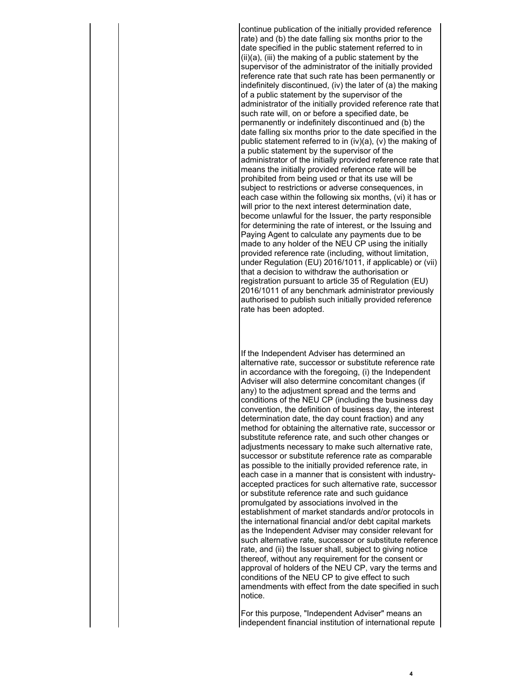continue publication of the initially provided reference rate) and (b) the date falling six months prior to the date specified in the public statement referred to in  $(ii)(a)$ ,  $(iii)$  the making of a public statement by the supervisor of the administrator of the initially provided reference rate that such rate has been permanently or indefinitely discontinued, (iv) the later of (a) the making of a public statement by the supervisor of the administrator of the initially provided reference rate that such rate will, on or before a specified date, be permanently or indefinitely discontinued and (b) the date falling six months prior to the date specified in the public statement referred to in (iv)(a), (v) the making of a public statement by the supervisor of the administrator of the initially provided reference rate that means the initially provided reference rate will be prohibited from being used or that its use will be subject to restrictions or adverse consequences, in each case within the following six months, (vi) it has or will prior to the next interest determination date, become unlawful for the Issuer, the party responsible for determining the rate of interest, or the Issuing and Paying Agent to calculate any payments due to be made to any holder of the NEU CP using the initially provided reference rate (including, without limitation, under Regulation (EU) 2016/1011, if applicable) or (vii) that a decision to withdraw the authorisation or registration pursuant to article 35 of Regulation (EU) 2016/1011 of any benchmark administrator previously authorised to publish such initially provided reference rate has been adopted.

If the Independent Adviser has determined an alternative rate, successor or substitute reference rate in accordance with the foregoing, (i) the Independent Adviser will also determine concomitant changes (if any) to the adjustment spread and the terms and conditions of the NEU CP (including the business day convention, the definition of business day, the interest determination date, the day count fraction) and any method for obtaining the alternative rate, successor or substitute reference rate, and such other changes or adjustments necessary to make such alternative rate, successor or substitute reference rate as comparable as possible to the initially provided reference rate, in each case in a manner that is consistent with industryaccepted practices for such alternative rate, successor or substitute reference rate and such guidance promulgated by associations involved in the establishment of market standards and/or protocols in the international financial and/or debt capital markets as the Independent Adviser may consider relevant for such alternative rate, successor or substitute reference rate, and (ii) the Issuer shall, subject to giving notice thereof, without any requirement for the consent or approval of holders of the NEU CP, vary the terms and conditions of the NEU CP to give effect to such amendments with effect from the date specified in such notice.

For this purpose, "Independent Adviser" means an independent financial institution of international repute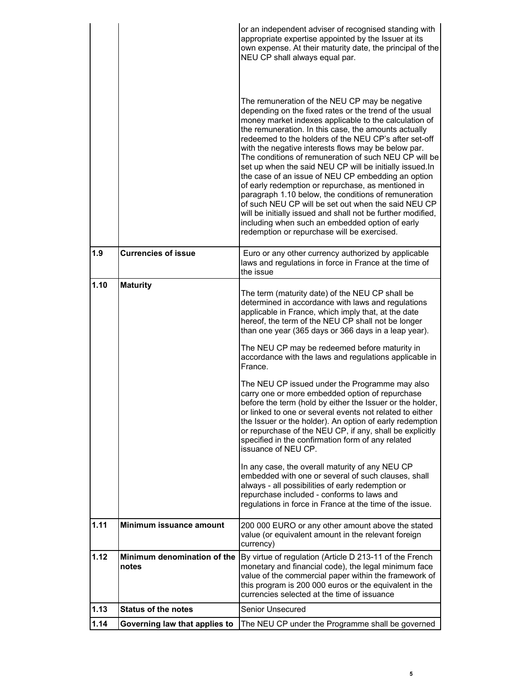|      |                                      | or an independent adviser of recognised standing with<br>appropriate expertise appointed by the Issuer at its<br>own expense. At their maturity date, the principal of the<br>NEU CP shall always equal par.<br>The remuneration of the NEU CP may be negative<br>depending on the fixed rates or the trend of the usual<br>money market indexes applicable to the calculation of<br>the remuneration. In this case, the amounts actually<br>redeemed to the holders of the NEU CP's after set-off<br>with the negative interests flows may be below par.<br>The conditions of remuneration of such NEU CP will be<br>set up when the said NEU CP will be initially issued.In<br>the case of an issue of NEU CP embedding an option<br>of early redemption or repurchase, as mentioned in<br>paragraph 1.10 below, the conditions of remuneration<br>of such NEU CP will be set out when the said NEU CP<br>will be initially issued and shall not be further modified,<br>including when such an embedded option of early<br>redemption or repurchase will be exercised. |
|------|--------------------------------------|---------------------------------------------------------------------------------------------------------------------------------------------------------------------------------------------------------------------------------------------------------------------------------------------------------------------------------------------------------------------------------------------------------------------------------------------------------------------------------------------------------------------------------------------------------------------------------------------------------------------------------------------------------------------------------------------------------------------------------------------------------------------------------------------------------------------------------------------------------------------------------------------------------------------------------------------------------------------------------------------------------------------------------------------------------------------------|
| 1.9  | <b>Currencies of issue</b>           | Euro or any other currency authorized by applicable<br>laws and regulations in force in France at the time of<br>the issue                                                                                                                                                                                                                                                                                                                                                                                                                                                                                                                                                                                                                                                                                                                                                                                                                                                                                                                                                |
| 1.10 | <b>Maturity</b>                      | The term (maturity date) of the NEU CP shall be<br>determined in accordance with laws and regulations<br>applicable in France, which imply that, at the date<br>hereof, the term of the NEU CP shall not be longer<br>than one year (365 days or 366 days in a leap year).                                                                                                                                                                                                                                                                                                                                                                                                                                                                                                                                                                                                                                                                                                                                                                                                |
|      |                                      | The NEU CP may be redeemed before maturity in<br>accordance with the laws and regulations applicable in<br>France.                                                                                                                                                                                                                                                                                                                                                                                                                                                                                                                                                                                                                                                                                                                                                                                                                                                                                                                                                        |
|      |                                      | The NEU CP issued under the Programme may also<br>carry one or more embedded option of repurchase<br>before the term (hold by either the Issuer or the holder,<br>or linked to one or several events not related to either<br>the Issuer or the holder). An option of early redemption<br>or repurchase of the NEU CP, if any, shall be explicitly<br>specified in the confirmation form of any related<br>issuance of NEU CP.                                                                                                                                                                                                                                                                                                                                                                                                                                                                                                                                                                                                                                            |
|      |                                      | In any case, the overall maturity of any NEU CP<br>embedded with one or several of such clauses, shall<br>always - all possibilities of early redemption or<br>repurchase included - conforms to laws and<br>regulations in force in France at the time of the issue.                                                                                                                                                                                                                                                                                                                                                                                                                                                                                                                                                                                                                                                                                                                                                                                                     |
| 1.11 | Minimum issuance amount              | 200 000 EURO or any other amount above the stated<br>value (or equivalent amount in the relevant foreign<br>currency)                                                                                                                                                                                                                                                                                                                                                                                                                                                                                                                                                                                                                                                                                                                                                                                                                                                                                                                                                     |
| 1.12 | Minimum denomination of the<br>notes | By virtue of regulation (Article D 213-11 of the French<br>monetary and financial code), the legal minimum face<br>value of the commercial paper within the framework of<br>this program is 200 000 euros or the equivalent in the<br>currencies selected at the time of issuance                                                                                                                                                                                                                                                                                                                                                                                                                                                                                                                                                                                                                                                                                                                                                                                         |
| 1.13 | <b>Status of the notes</b>           | Senior Unsecured                                                                                                                                                                                                                                                                                                                                                                                                                                                                                                                                                                                                                                                                                                                                                                                                                                                                                                                                                                                                                                                          |
| 1.14 | Governing law that applies to        | The NEU CP under the Programme shall be governed                                                                                                                                                                                                                                                                                                                                                                                                                                                                                                                                                                                                                                                                                                                                                                                                                                                                                                                                                                                                                          |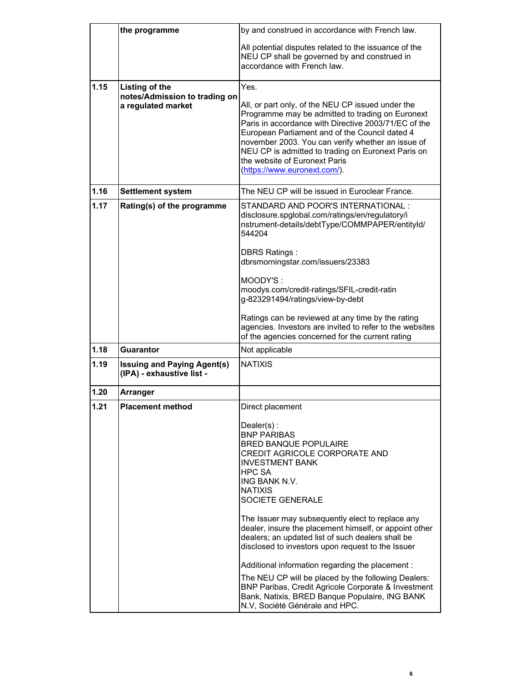|      | the programme                                                         | by and construed in accordance with French law.                                                                                                                                                                                                                                                                                                                                                                                                                                                                                                                                                                                                                                  |
|------|-----------------------------------------------------------------------|----------------------------------------------------------------------------------------------------------------------------------------------------------------------------------------------------------------------------------------------------------------------------------------------------------------------------------------------------------------------------------------------------------------------------------------------------------------------------------------------------------------------------------------------------------------------------------------------------------------------------------------------------------------------------------|
|      |                                                                       | All potential disputes related to the issuance of the<br>NEU CP shall be governed by and construed in<br>accordance with French law.                                                                                                                                                                                                                                                                                                                                                                                                                                                                                                                                             |
| 1.15 | Listing of the<br>notes/Admission to trading on<br>a regulated market | Yes.<br>All, or part only, of the NEU CP issued under the<br>Programme may be admitted to trading on Euronext<br>Paris in accordance with Directive 2003/71/EC of the<br>European Parliament and of the Council dated 4<br>november 2003. You can verify whether an issue of<br>NEU CP is admitted to trading on Euronext Paris on<br>the website of Euronext Paris<br>(https://www.euronext.com/).                                                                                                                                                                                                                                                                              |
| 1.16 | <b>Settlement system</b>                                              | The NEU CP will be issued in Euroclear France.                                                                                                                                                                                                                                                                                                                                                                                                                                                                                                                                                                                                                                   |
| 1.17 | Rating(s) of the programme                                            | STANDARD AND POOR'S INTERNATIONAL:<br>disclosure.spglobal.com/ratings/en/regulatory/i<br>nstrument-details/debtType/COMMPAPER/entityId/<br>544204                                                                                                                                                                                                                                                                                                                                                                                                                                                                                                                                |
|      |                                                                       | <b>DBRS Ratings:</b><br>dbrsmorningstar.com/issuers/23383                                                                                                                                                                                                                                                                                                                                                                                                                                                                                                                                                                                                                        |
|      |                                                                       | MOODY'S:<br>moodys.com/credit-ratings/SFIL-credit-ratin<br>g-823291494/ratings/view-by-debt                                                                                                                                                                                                                                                                                                                                                                                                                                                                                                                                                                                      |
|      |                                                                       | Ratings can be reviewed at any time by the rating<br>agencies. Investors are invited to refer to the websites<br>of the agencies concerned for the current rating                                                                                                                                                                                                                                                                                                                                                                                                                                                                                                                |
| 1.18 | Guarantor                                                             | Not applicable                                                                                                                                                                                                                                                                                                                                                                                                                                                                                                                                                                                                                                                                   |
| 1.19 | <b>Issuing and Paying Agent(s)</b><br>(IPA) - exhaustive list -       | <b>NATIXIS</b>                                                                                                                                                                                                                                                                                                                                                                                                                                                                                                                                                                                                                                                                   |
| 1.20 | <b>Arranger</b>                                                       |                                                                                                                                                                                                                                                                                                                                                                                                                                                                                                                                                                                                                                                                                  |
| 1.21 | <b>Placement method</b>                                               | Direct placement                                                                                                                                                                                                                                                                                                                                                                                                                                                                                                                                                                                                                                                                 |
|      |                                                                       | Dealer(s):<br><b>BNP PARIBAS</b><br><b>BRED BANQUE POPULAIRE</b><br>CREDIT AGRICOLE CORPORATE AND<br><b>INVESTMENT BANK</b><br><b>HPC SA</b><br>ING BANK N.V.<br><b>NATIXIS</b><br>SOCIETE GENERALE<br>The Issuer may subsequently elect to replace any<br>dealer, insure the placement himself, or appoint other<br>dealers; an updated list of such dealers shall be<br>disclosed to investors upon request to the Issuer<br>Additional information regarding the placement:<br>The NEU CP will be placed by the following Dealers:<br>BNP Paribas, Credit Agricole Corporate & Investment<br>Bank, Natixis, BRED Banque Populaire, ING BANK<br>N.V, Société Générale and HPC. |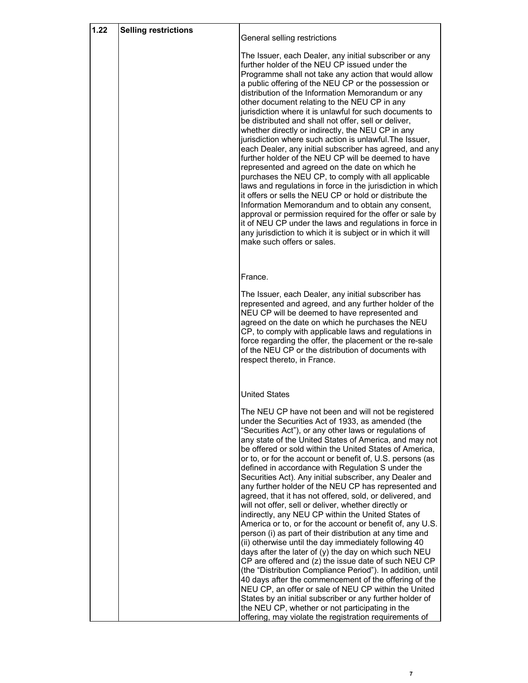| 1.22 | <b>Selling restrictions</b> |                                                                                                                                                                                                                                                                                                                                                                                                                                                                                                                                                                                                                                                                                                                                                                                                                                                                                                                                                                                                                                                                                                                                                                                                                                                                                                                                                                   |
|------|-----------------------------|-------------------------------------------------------------------------------------------------------------------------------------------------------------------------------------------------------------------------------------------------------------------------------------------------------------------------------------------------------------------------------------------------------------------------------------------------------------------------------------------------------------------------------------------------------------------------------------------------------------------------------------------------------------------------------------------------------------------------------------------------------------------------------------------------------------------------------------------------------------------------------------------------------------------------------------------------------------------------------------------------------------------------------------------------------------------------------------------------------------------------------------------------------------------------------------------------------------------------------------------------------------------------------------------------------------------------------------------------------------------|
|      |                             | General selling restrictions                                                                                                                                                                                                                                                                                                                                                                                                                                                                                                                                                                                                                                                                                                                                                                                                                                                                                                                                                                                                                                                                                                                                                                                                                                                                                                                                      |
|      |                             | The Issuer, each Dealer, any initial subscriber or any<br>further holder of the NEU CP issued under the<br>Programme shall not take any action that would allow<br>a public offering of the NEU CP or the possession or<br>distribution of the Information Memorandum or any<br>other document relating to the NEU CP in any<br>jurisdiction where it is unlawful for such documents to<br>be distributed and shall not offer, sell or deliver,<br>whether directly or indirectly, the NEU CP in any<br>jurisdiction where such action is unlawful. The Issuer,<br>each Dealer, any initial subscriber has agreed, and any<br>further holder of the NEU CP will be deemed to have<br>represented and agreed on the date on which he<br>purchases the NEU CP, to comply with all applicable<br>laws and regulations in force in the jurisdiction in which<br>it offers or sells the NEU CP or hold or distribute the<br>Information Memorandum and to obtain any consent,<br>approval or permission required for the offer or sale by<br>it of NEU CP under the laws and regulations in force in<br>any jurisdiction to which it is subject or in which it will<br>make such offers or sales.                                                                                                                                                                      |
|      |                             |                                                                                                                                                                                                                                                                                                                                                                                                                                                                                                                                                                                                                                                                                                                                                                                                                                                                                                                                                                                                                                                                                                                                                                                                                                                                                                                                                                   |
|      |                             | France.                                                                                                                                                                                                                                                                                                                                                                                                                                                                                                                                                                                                                                                                                                                                                                                                                                                                                                                                                                                                                                                                                                                                                                                                                                                                                                                                                           |
|      |                             | The Issuer, each Dealer, any initial subscriber has<br>represented and agreed, and any further holder of the<br>NEU CP will be deemed to have represented and<br>agreed on the date on which he purchases the NEU<br>CP, to comply with applicable laws and regulations in<br>force regarding the offer, the placement or the re-sale<br>of the NEU CP or the distribution of documents with<br>respect thereto, in France.                                                                                                                                                                                                                                                                                                                                                                                                                                                                                                                                                                                                                                                                                                                                                                                                                                                                                                                                       |
|      |                             | <b>United States</b>                                                                                                                                                                                                                                                                                                                                                                                                                                                                                                                                                                                                                                                                                                                                                                                                                                                                                                                                                                                                                                                                                                                                                                                                                                                                                                                                              |
|      |                             | The NEU CP have not been and will not be registered<br>under the Securities Act of 1933, as amended (the<br>"Securities Act"), or any other laws or regulations of<br>any state of the United States of America, and may not<br>be offered or sold within the United States of America,<br>or to, or for the account or benefit of, U.S. persons (as<br>defined in accordance with Regulation S under the<br>Securities Act). Any initial subscriber, any Dealer and<br>any further holder of the NEU CP has represented and<br>agreed, that it has not offered, sold, or delivered, and<br>will not offer, sell or deliver, whether directly or<br>indirectly, any NEU CP within the United States of<br>America or to, or for the account or benefit of, any U.S.<br>person (i) as part of their distribution at any time and<br>(ii) otherwise until the day immediately following 40<br>days after the later of (y) the day on which such NEU<br>CP are offered and (z) the issue date of such NEU CP<br>(the "Distribution Compliance Period"). In addition, until<br>40 days after the commencement of the offering of the<br>NEU CP, an offer or sale of NEU CP within the United<br>States by an initial subscriber or any further holder of<br>the NEU CP, whether or not participating in the<br>offering, may violate the registration requirements of |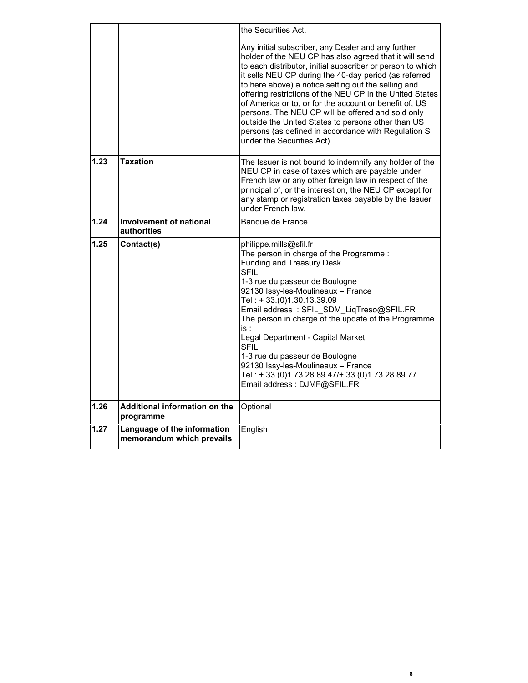|      |                                                          | the Securities Act.                                                                                                                                                                                                                                                                                                                                                                                                                                                                                                                                                                                              |
|------|----------------------------------------------------------|------------------------------------------------------------------------------------------------------------------------------------------------------------------------------------------------------------------------------------------------------------------------------------------------------------------------------------------------------------------------------------------------------------------------------------------------------------------------------------------------------------------------------------------------------------------------------------------------------------------|
|      |                                                          | Any initial subscriber, any Dealer and any further<br>holder of the NEU CP has also agreed that it will send<br>to each distributor, initial subscriber or person to which<br>it sells NEU CP during the 40-day period (as referred<br>to here above) a notice setting out the selling and<br>offering restrictions of the NEU CP in the United States<br>of America or to, or for the account or benefit of, US<br>persons. The NEU CP will be offered and sold only<br>outside the United States to persons other than US<br>persons (as defined in accordance with Regulation S<br>under the Securities Act). |
| 1.23 | <b>Taxation</b>                                          | The Issuer is not bound to indemnify any holder of the<br>NEU CP in case of taxes which are payable under<br>French law or any other foreign law in respect of the<br>principal of, or the interest on, the NEU CP except for<br>any stamp or registration taxes payable by the Issuer<br>under French law.                                                                                                                                                                                                                                                                                                      |
| 1.24 | <b>Involvement of national</b><br>authorities            | Banque de France                                                                                                                                                                                                                                                                                                                                                                                                                                                                                                                                                                                                 |
| 1.25 | Contact(s)                                               | philippe.mills@sfil.fr<br>The person in charge of the Programme:<br><b>Funding and Treasury Desk</b><br><b>SFIL</b><br>1-3 rue du passeur de Boulogne<br>92130 Issy-les-Moulineaux - France<br>Tel: +33.(0)1.30.13.39.09<br>Email address: SFIL SDM LiqTreso@SFIL.FR<br>The person in charge of the update of the Programme<br>is :<br>Legal Department - Capital Market<br><b>SFIL</b><br>1-3 rue du passeur de Boulogne<br>92130 Issy-les-Moulineaux - France<br>Tel: +33.(0)1.73.28.89.47/+33.(0)1.73.28.89.77<br>Email address: DJMF@SFIL.FR                                                                 |
| 1.26 | Additional information on the<br>programme               | Optional                                                                                                                                                                                                                                                                                                                                                                                                                                                                                                                                                                                                         |
| 1.27 | Language of the information<br>memorandum which prevails | English                                                                                                                                                                                                                                                                                                                                                                                                                                                                                                                                                                                                          |

**8**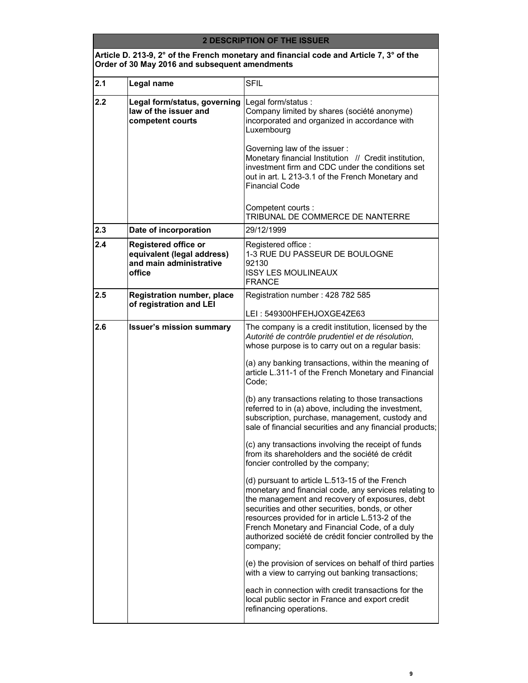#### **2 DESCRIPTION OF THE ISSUER**

### **Article D. 213-9, 2° of the French monetary and financial code and Article 7, 3° of the Order of 30 May 2016 and subsequent amendments**

| 2.1 | Legal name                                                                                    | <b>SFIL</b>                                                                                                                                                                                                                                                                                                                                                                                                                                                                                                                                                                                                                                                                                                                                                                                                                                                                                                                                                                                                                                                                                                                                                                                                                                                                                                           |
|-----|-----------------------------------------------------------------------------------------------|-----------------------------------------------------------------------------------------------------------------------------------------------------------------------------------------------------------------------------------------------------------------------------------------------------------------------------------------------------------------------------------------------------------------------------------------------------------------------------------------------------------------------------------------------------------------------------------------------------------------------------------------------------------------------------------------------------------------------------------------------------------------------------------------------------------------------------------------------------------------------------------------------------------------------------------------------------------------------------------------------------------------------------------------------------------------------------------------------------------------------------------------------------------------------------------------------------------------------------------------------------------------------------------------------------------------------|
| 2.2 | Legal form/status, governing Legal form/status :<br>law of the issuer and<br>competent courts | Company limited by shares (société anonyme)<br>incorporated and organized in accordance with<br>Luxembourg<br>Governing law of the issuer:<br>Monetary financial Institution // Credit institution,<br>investment firm and CDC under the conditions set<br>out in art. L 213-3.1 of the French Monetary and<br><b>Financial Code</b><br>Competent courts :<br>TRIBUNAL DE COMMERCE DE NANTERRE                                                                                                                                                                                                                                                                                                                                                                                                                                                                                                                                                                                                                                                                                                                                                                                                                                                                                                                        |
| 2.3 | Date of incorporation                                                                         | 29/12/1999                                                                                                                                                                                                                                                                                                                                                                                                                                                                                                                                                                                                                                                                                                                                                                                                                                                                                                                                                                                                                                                                                                                                                                                                                                                                                                            |
| 2.4 | Registered office or<br>equivalent (legal address)<br>and main administrative<br>office       | Registered office:<br>1-3 RUE DU PASSEUR DE BOULOGNE<br>92130<br><b>ISSY LES MOULINEAUX</b><br><b>FRANCE</b>                                                                                                                                                                                                                                                                                                                                                                                                                                                                                                                                                                                                                                                                                                                                                                                                                                                                                                                                                                                                                                                                                                                                                                                                          |
| 2.5 | <b>Registration number, place</b><br>of registration and LEI                                  | Registration number: 428 782 585<br>LEI: 549300HFEHJOXGE4ZE63                                                                                                                                                                                                                                                                                                                                                                                                                                                                                                                                                                                                                                                                                                                                                                                                                                                                                                                                                                                                                                                                                                                                                                                                                                                         |
| 2.6 | <b>Issuer's mission summary</b>                                                               | The company is a credit institution, licensed by the<br>Autorité de contrôle prudentiel et de résolution,<br>whose purpose is to carry out on a regular basis:<br>(a) any banking transactions, within the meaning of<br>article L.311-1 of the French Monetary and Financial<br>Code;<br>(b) any transactions relating to those transactions<br>referred to in (a) above, including the investment,<br>subscription, purchase, management, custody and<br>sale of financial securities and any financial products;<br>(c) any transactions involving the receipt of funds<br>from its shareholders and the société de crédit<br>foncier controlled by the company;<br>(d) pursuant to article L.513-15 of the French<br>monetary and financial code, any services relating to<br>the management and recovery of exposures, debt<br>securities and other securities, bonds, or other<br>resources provided for in article L.513-2 of the<br>French Monetary and Financial Code, of a duly<br>authorized société de crédit foncier controlled by the<br>company;<br>(e) the provision of services on behalf of third parties<br>with a view to carrying out banking transactions;<br>each in connection with credit transactions for the<br>local public sector in France and export credit<br>refinancing operations. |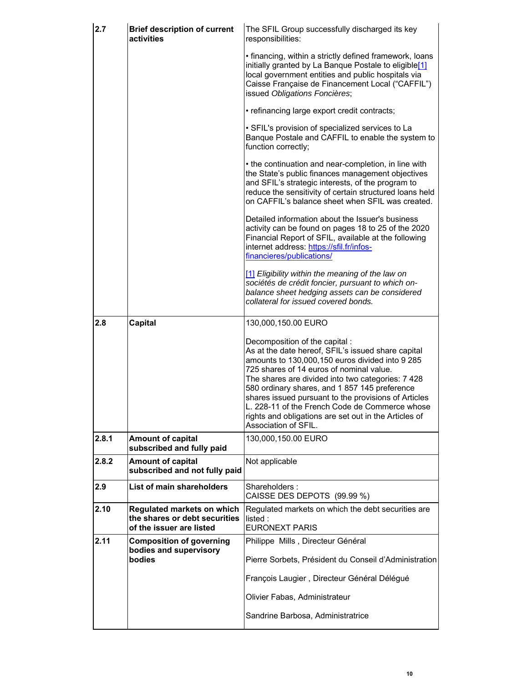| 2.7   | <b>Brief description of current</b><br>activities                                       | The SFIL Group successfully discharged its key<br>responsibilities:                                                                                                                                                                                                                                                                                                                                                                                                                  |
|-------|-----------------------------------------------------------------------------------------|--------------------------------------------------------------------------------------------------------------------------------------------------------------------------------------------------------------------------------------------------------------------------------------------------------------------------------------------------------------------------------------------------------------------------------------------------------------------------------------|
|       |                                                                                         | • financing, within a strictly defined framework, loans<br>initially granted by La Banque Postale to eligible[1]<br>local government entities and public hospitals via<br>Caisse Française de Financement Local ("CAFFIL")<br>issued Obligations Foncières;                                                                                                                                                                                                                          |
|       |                                                                                         | • refinancing large export credit contracts;                                                                                                                                                                                                                                                                                                                                                                                                                                         |
|       |                                                                                         | • SFIL's provision of specialized services to La<br>Banque Postale and CAFFIL to enable the system to<br>function correctly;                                                                                                                                                                                                                                                                                                                                                         |
|       |                                                                                         | • the continuation and near-completion, in line with<br>the State's public finances management objectives<br>and SFIL's strategic interests, of the program to<br>reduce the sensitivity of certain structured loans held<br>on CAFFIL's balance sheet when SFIL was created.                                                                                                                                                                                                        |
|       |                                                                                         | Detailed information about the Issuer's business<br>activity can be found on pages 18 to 25 of the 2020<br>Financial Report of SFIL, available at the following<br>internet address: https://sfil.fr/infos-<br>financieres/publications/                                                                                                                                                                                                                                             |
|       |                                                                                         | [1] Eligibility within the meaning of the law on<br>sociétés de crédit foncier, pursuant to which on-<br>balance sheet hedging assets can be considered<br>collateral for issued covered bonds.                                                                                                                                                                                                                                                                                      |
| 2.8   | Capital                                                                                 | 130,000,150.00 EURO                                                                                                                                                                                                                                                                                                                                                                                                                                                                  |
|       |                                                                                         | Decomposition of the capital :<br>As at the date hereof, SFIL's issued share capital<br>amounts to 130,000,150 euros divided into 9 285<br>725 shares of 14 euros of nominal value.<br>The shares are divided into two categories: 7 428<br>580 ordinary shares, and 1 857 145 preference<br>shares issued pursuant to the provisions of Articles<br>L. 228-11 of the French Code de Commerce whose<br>rights and obligations are set out in the Articles of<br>Association of SFIL. |
| 2.8.1 | <b>Amount of capital</b><br>subscribed and fully paid                                   | 130,000,150.00 EURO                                                                                                                                                                                                                                                                                                                                                                                                                                                                  |
| 2.8.2 | <b>Amount of capital</b><br>subscribed and not fully paid                               | Not applicable                                                                                                                                                                                                                                                                                                                                                                                                                                                                       |
| 2.9   | List of main shareholders                                                               | Shareholders:<br>CAISSE DES DEPOTS (99.99 %)                                                                                                                                                                                                                                                                                                                                                                                                                                         |
| 2.10  | Regulated markets on which<br>the shares or debt securities<br>of the issuer are listed | Regulated markets on which the debt securities are<br>listed:<br><b>EURONEXT PARIS</b>                                                                                                                                                                                                                                                                                                                                                                                               |
| 2.11  | <b>Composition of governing</b><br>bodies and supervisory                               | Philippe Mills, Directeur Général                                                                                                                                                                                                                                                                                                                                                                                                                                                    |
|       | bodies                                                                                  | Pierre Sorbets, Président du Conseil d'Administration                                                                                                                                                                                                                                                                                                                                                                                                                                |
|       |                                                                                         | François Laugier, Directeur Général Délégué                                                                                                                                                                                                                                                                                                                                                                                                                                          |
|       |                                                                                         | Olivier Fabas, Administrateur                                                                                                                                                                                                                                                                                                                                                                                                                                                        |
|       |                                                                                         | Sandrine Barbosa, Administratrice                                                                                                                                                                                                                                                                                                                                                                                                                                                    |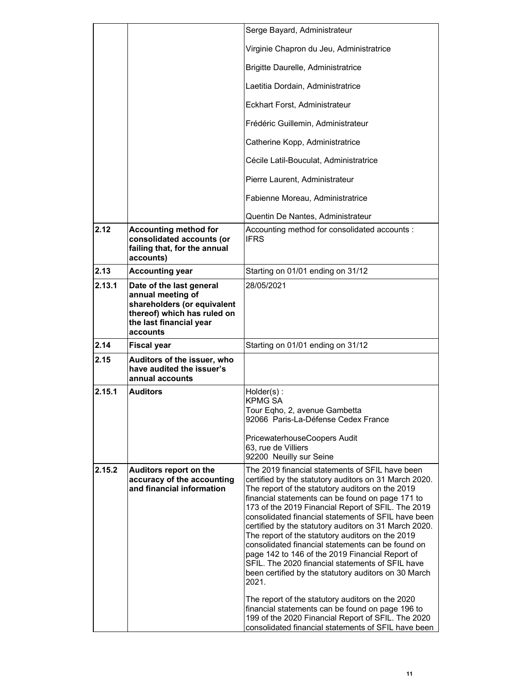|        |                                                                                                                                                    | Serge Bayard, Administrateur                                                                                                                                                                                                                                                                                                                                                                                                                                                                                                                                                                                                                                                                                                                                                                                                                                                                 |
|--------|----------------------------------------------------------------------------------------------------------------------------------------------------|----------------------------------------------------------------------------------------------------------------------------------------------------------------------------------------------------------------------------------------------------------------------------------------------------------------------------------------------------------------------------------------------------------------------------------------------------------------------------------------------------------------------------------------------------------------------------------------------------------------------------------------------------------------------------------------------------------------------------------------------------------------------------------------------------------------------------------------------------------------------------------------------|
|        |                                                                                                                                                    | Virginie Chapron du Jeu, Administratrice                                                                                                                                                                                                                                                                                                                                                                                                                                                                                                                                                                                                                                                                                                                                                                                                                                                     |
|        |                                                                                                                                                    | Brigitte Daurelle, Administratrice                                                                                                                                                                                                                                                                                                                                                                                                                                                                                                                                                                                                                                                                                                                                                                                                                                                           |
|        |                                                                                                                                                    | Laetitia Dordain, Administratrice                                                                                                                                                                                                                                                                                                                                                                                                                                                                                                                                                                                                                                                                                                                                                                                                                                                            |
|        |                                                                                                                                                    | Eckhart Forst, Administrateur                                                                                                                                                                                                                                                                                                                                                                                                                                                                                                                                                                                                                                                                                                                                                                                                                                                                |
|        |                                                                                                                                                    | Frédéric Guillemin, Administrateur                                                                                                                                                                                                                                                                                                                                                                                                                                                                                                                                                                                                                                                                                                                                                                                                                                                           |
|        |                                                                                                                                                    | Catherine Kopp, Administratrice                                                                                                                                                                                                                                                                                                                                                                                                                                                                                                                                                                                                                                                                                                                                                                                                                                                              |
|        |                                                                                                                                                    | Cécile Latil-Bouculat, Administratrice                                                                                                                                                                                                                                                                                                                                                                                                                                                                                                                                                                                                                                                                                                                                                                                                                                                       |
|        |                                                                                                                                                    | Pierre Laurent, Administrateur                                                                                                                                                                                                                                                                                                                                                                                                                                                                                                                                                                                                                                                                                                                                                                                                                                                               |
|        |                                                                                                                                                    | Fabienne Moreau, Administratrice                                                                                                                                                                                                                                                                                                                                                                                                                                                                                                                                                                                                                                                                                                                                                                                                                                                             |
|        |                                                                                                                                                    | Quentin De Nantes, Administrateur                                                                                                                                                                                                                                                                                                                                                                                                                                                                                                                                                                                                                                                                                                                                                                                                                                                            |
| 2.12   | <b>Accounting method for</b><br>consolidated accounts (or<br>failing that, for the annual<br>accounts)                                             | Accounting method for consolidated accounts:<br><b>IFRS</b>                                                                                                                                                                                                                                                                                                                                                                                                                                                                                                                                                                                                                                                                                                                                                                                                                                  |
| 2.13   | <b>Accounting year</b>                                                                                                                             | Starting on 01/01 ending on 31/12                                                                                                                                                                                                                                                                                                                                                                                                                                                                                                                                                                                                                                                                                                                                                                                                                                                            |
| 2.13.1 | Date of the last general<br>annual meeting of<br>shareholders (or equivalent<br>thereof) which has ruled on<br>the last financial year<br>accounts | 28/05/2021                                                                                                                                                                                                                                                                                                                                                                                                                                                                                                                                                                                                                                                                                                                                                                                                                                                                                   |
| 2.14   | <b>Fiscal year</b>                                                                                                                                 | Starting on 01/01 ending on 31/12                                                                                                                                                                                                                                                                                                                                                                                                                                                                                                                                                                                                                                                                                                                                                                                                                                                            |
| 2.15   | Auditors of the issuer, who<br>have audited the issuer's<br>annual accounts                                                                        |                                                                                                                                                                                                                                                                                                                                                                                                                                                                                                                                                                                                                                                                                                                                                                                                                                                                                              |
| 2.15.1 | <b>Auditors</b>                                                                                                                                    | $Holder(s)$ :<br><b>KPMG SA</b><br>Tour Eqho, 2, avenue Gambetta<br>92066 Paris-La-Défense Cedex France<br>PricewaterhouseCoopers Audit<br>63, rue de Villiers<br>92200 Neuilly sur Seine                                                                                                                                                                                                                                                                                                                                                                                                                                                                                                                                                                                                                                                                                                    |
| 2.15.2 | Auditors report on the<br>accuracy of the accounting<br>and financial information                                                                  | The 2019 financial statements of SFIL have been<br>certified by the statutory auditors on 31 March 2020.<br>The report of the statutory auditors on the 2019<br>financial statements can be found on page 171 to<br>173 of the 2019 Financial Report of SFIL. The 2019<br>consolidated financial statements of SFIL have been<br>certified by the statutory auditors on 31 March 2020.<br>The report of the statutory auditors on the 2019<br>consolidated financial statements can be found on<br>page 142 to 146 of the 2019 Financial Report of<br>SFIL. The 2020 financial statements of SFIL have<br>been certified by the statutory auditors on 30 March<br>2021.<br>The report of the statutory auditors on the 2020<br>financial statements can be found on page 196 to<br>199 of the 2020 Financial Report of SFIL. The 2020<br>consolidated financial statements of SFIL have been |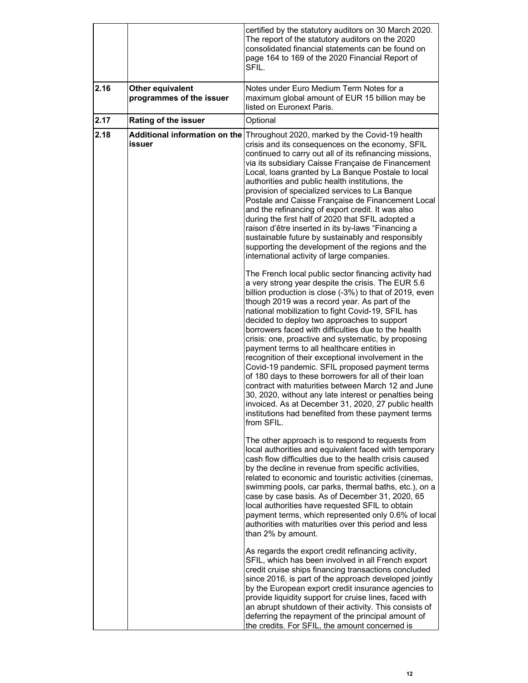|      |                                              | certified by the statutory auditors on 30 March 2020.<br>The report of the statutory auditors on the 2020<br>consolidated financial statements can be found on<br>page 164 to 169 of the 2020 Financial Report of<br>SFIL.                                                                                                                                                                                                                                                                                                                                                                                                                                                                                                                                                                                                                                                                            |
|------|----------------------------------------------|-------------------------------------------------------------------------------------------------------------------------------------------------------------------------------------------------------------------------------------------------------------------------------------------------------------------------------------------------------------------------------------------------------------------------------------------------------------------------------------------------------------------------------------------------------------------------------------------------------------------------------------------------------------------------------------------------------------------------------------------------------------------------------------------------------------------------------------------------------------------------------------------------------|
| 2.16 | Other equivalent<br>programmes of the issuer | Notes under Euro Medium Term Notes for a<br>maximum global amount of EUR 15 billion may be<br>listed on Euronext Paris.                                                                                                                                                                                                                                                                                                                                                                                                                                                                                                                                                                                                                                                                                                                                                                               |
| 2.17 | Rating of the issuer                         | Optional                                                                                                                                                                                                                                                                                                                                                                                                                                                                                                                                                                                                                                                                                                                                                                                                                                                                                              |
| 2.18 | Additional information on the<br>issuer      | Throughout 2020, marked by the Covid-19 health<br>crisis and its consequences on the economy, SFIL<br>continued to carry out all of its refinancing missions,<br>via its subsidiary Caisse Française de Financement<br>Local, loans granted by La Banque Postale to local<br>authorities and public health institutions, the<br>provision of specialized services to La Banque<br>Postale and Caisse Française de Financement Local<br>and the refinancing of export credit. It was also<br>during the first half of 2020 that SFIL adopted a<br>raison d'être inserted in its by-laws "Financing a<br>sustainable future by sustainably and responsibly<br>supporting the development of the regions and the<br>international activity of large companies.                                                                                                                                           |
|      |                                              | The French local public sector financing activity had<br>a very strong year despite the crisis. The EUR 5.6<br>billion production is close (-3%) to that of 2019, even<br>though 2019 was a record year. As part of the<br>national mobilization to fight Covid-19, SFIL has<br>decided to deploy two approaches to support<br>borrowers faced with difficulties due to the health<br>crisis: one, proactive and systematic, by proposing<br>payment terms to all healthcare entities in<br>recognition of their exceptional involvement in the<br>Covid-19 pandemic. SFIL proposed payment terms<br>of 180 days to these borrowers for all of their loan<br>contract with maturities between March 12 and June<br>30, 2020, without any late interest or penalties being<br>invoiced. As at December 31, 2020, 27 public health<br>institutions had benefited from these payment terms<br>from SFIL. |
|      |                                              | The other approach is to respond to requests from<br>local authorities and equivalent faced with temporary<br>cash flow difficulties due to the health crisis caused<br>by the decline in revenue from specific activities,<br>related to economic and touristic activities (cinemas,<br>swimming pools, car parks, thermal baths, etc.), on a<br>case by case basis. As of December 31, 2020, 65<br>local authorities have requested SFIL to obtain<br>payment terms, which represented only 0.6% of local<br>authorities with maturities over this period and less<br>than 2% by amount.                                                                                                                                                                                                                                                                                                            |
|      |                                              | As regards the export credit refinancing activity,<br>SFIL, which has been involved in all French export<br>credit cruise ships financing transactions concluded<br>since 2016, is part of the approach developed jointly<br>by the European export credit insurance agencies to<br>provide liquidity support for cruise lines, faced with<br>an abrupt shutdown of their activity. This consists of<br>deferring the repayment of the principal amount of<br>the credits. For SFIL, the amount concerned is                                                                                                                                                                                                                                                                                                                                                                                          |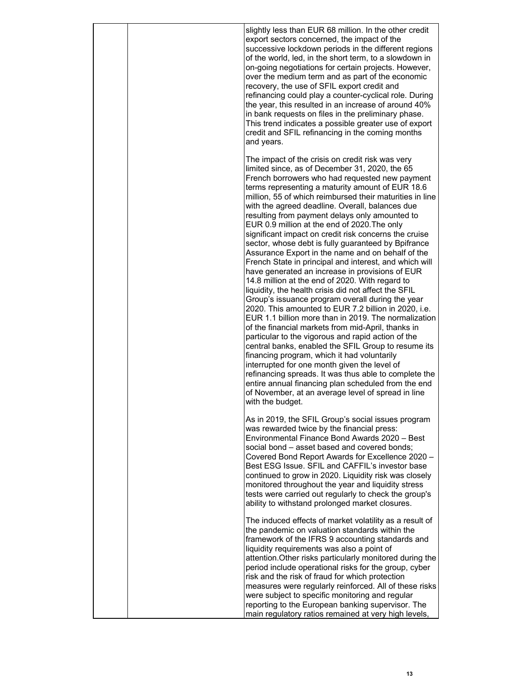|  | slightly less than EUR 68 million. In the other credit<br>export sectors concerned, the impact of the<br>successive lockdown periods in the different regions<br>of the world, led, in the short term, to a slowdown in<br>on-going negotiations for certain projects. However,<br>over the medium term and as part of the economic<br>recovery, the use of SFIL export credit and<br>refinancing could play a counter-cyclical role. During<br>the year, this resulted in an increase of around 40%<br>in bank requests on files in the preliminary phase.<br>This trend indicates a possible greater use of export<br>credit and SFIL refinancing in the coming months<br>and years.                                                                                                                                                                                                                                                                                                                                                                                                                                                                                                                                                                                                                                                                                                                                                                 |
|--|--------------------------------------------------------------------------------------------------------------------------------------------------------------------------------------------------------------------------------------------------------------------------------------------------------------------------------------------------------------------------------------------------------------------------------------------------------------------------------------------------------------------------------------------------------------------------------------------------------------------------------------------------------------------------------------------------------------------------------------------------------------------------------------------------------------------------------------------------------------------------------------------------------------------------------------------------------------------------------------------------------------------------------------------------------------------------------------------------------------------------------------------------------------------------------------------------------------------------------------------------------------------------------------------------------------------------------------------------------------------------------------------------------------------------------------------------------|
|  | The impact of the crisis on credit risk was very<br>limited since, as of December 31, 2020, the 65<br>French borrowers who had requested new payment<br>terms representing a maturity amount of EUR 18.6<br>million, 55 of which reimbursed their maturities in line<br>with the agreed deadline. Overall, balances due<br>resulting from payment delays only amounted to<br>EUR 0.9 million at the end of 2020. The only<br>significant impact on credit risk concerns the cruise<br>sector, whose debt is fully guaranteed by Bpifrance<br>Assurance Export in the name and on behalf of the<br>French State in principal and interest, and which will<br>have generated an increase in provisions of EUR<br>14.8 million at the end of 2020. With regard to<br>liquidity, the health crisis did not affect the SFIL<br>Group's issuance program overall during the year<br>2020. This amounted to EUR 7.2 billion in 2020, i.e.<br>EUR 1.1 billion more than in 2019. The normalization<br>of the financial markets from mid-April, thanks in<br>particular to the vigorous and rapid action of the<br>central banks, enabled the SFIL Group to resume its<br>financing program, which it had voluntarily<br>interrupted for one month given the level of<br>refinancing spreads. It was thus able to complete the<br>entire annual financing plan scheduled from the end<br>of November, at an average level of spread in line<br>with the budget. |
|  | As in 2019, the SFIL Group's social issues program<br>was rewarded twice by the financial press:<br>Environmental Finance Bond Awards 2020 - Best<br>social bond - asset based and covered bonds;<br>Covered Bond Report Awards for Excellence 2020 -<br>Best ESG Issue. SFIL and CAFFIL's investor base<br>continued to grow in 2020. Liquidity risk was closely<br>monitored throughout the year and liquidity stress<br>tests were carried out regularly to check the group's<br>ability to withstand prolonged market closures.                                                                                                                                                                                                                                                                                                                                                                                                                                                                                                                                                                                                                                                                                                                                                                                                                                                                                                                    |
|  | The induced effects of market volatility as a result of<br>the pandemic on valuation standards within the<br>framework of the IFRS 9 accounting standards and<br>liquidity requirements was also a point of<br>attention. Other risks particularly monitored during the<br>period include operational risks for the group, cyber<br>risk and the risk of fraud for which protection<br>measures were regularly reinforced. All of these risks<br>were subject to specific monitoring and regular<br>reporting to the European banking supervisor. The<br>main regulatory ratios remained at very high levels,                                                                                                                                                                                                                                                                                                                                                                                                                                                                                                                                                                                                                                                                                                                                                                                                                                          |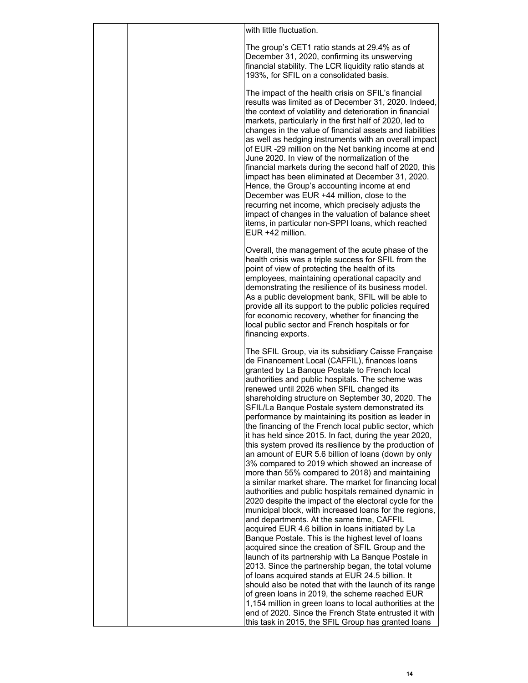| The group's CET1 ratio stands at 29.4% as of<br>December 31, 2020, confirming its unswerving<br>financial stability. The LCR liquidity ratio stands at<br>193%, for SFIL on a consolidated basis.<br>The impact of the health crisis on SFIL's financial<br>results was limited as of December 31, 2020. Indeed,<br>the context of volatility and deterioration in financial<br>markets, particularly in the first half of 2020, led to<br>changes in the value of financial assets and liabilities<br>as well as hedging instruments with an overall impact<br>of EUR -29 million on the Net banking income at end<br>June 2020. In view of the normalization of the<br>financial markets during the second half of 2020, this<br>impact has been eliminated at December 31, 2020.<br>Hence, the Group's accounting income at end<br>December was EUR +44 million, close to the<br>recurring net income, which precisely adjusts the<br>impact of changes in the valuation of balance sheet<br>items, in particular non-SPPI loans, which reached<br>EUR +42 million.<br>Overall, the management of the acute phase of the<br>health crisis was a triple success for SFIL from the<br>point of view of protecting the health of its<br>employees, maintaining operational capacity and<br>demonstrating the resilience of its business model.<br>As a public development bank, SFIL will be able to<br>provide all its support to the public policies required<br>for economic recovery, whether for financing the<br>local public sector and French hospitals or for<br>financing exports.<br>The SFIL Group, via its subsidiary Caisse Française<br>de Financement Local (CAFFIL), finances loans<br>granted by La Banque Postale to French local<br>authorities and public hospitals. The scheme was<br>renewed until 2026 when SFIL changed its<br>shareholding structure on September 30, 2020. The<br>SFIL/La Banque Postale system demonstrated its<br>performance by maintaining its position as leader in<br>the financing of the French local public sector, which<br>it has held since 2015. In fact, during the year 2020,<br>this system proved its resilience by the production of<br>an amount of EUR 5.6 billion of loans (down by only<br>3% compared to 2019 which showed an increase of<br>more than 55% compared to 2018) and maintaining<br>a similar market share. The market for financing local<br>authorities and public hospitals remained dynamic in<br>2020 despite the impact of the electoral cycle for the<br>municipal block, with increased loans for the regions,<br>and departments. At the same time, CAFFIL<br>acquired EUR 4.6 billion in loans initiated by La<br>Banque Postale. This is the highest level of loans<br>acquired since the creation of SFIL Group and the<br>launch of its partnership with La Banque Postale in<br>2013. Since the partnership began, the total volume<br>of loans acquired stands at EUR 24.5 billion. It<br>should also be noted that with the launch of its range<br>of green loans in 2019, the scheme reached EUR<br>1,154 million in green loans to local authorities at the | with little fluctuation. |
|-------------------------------------------------------------------------------------------------------------------------------------------------------------------------------------------------------------------------------------------------------------------------------------------------------------------------------------------------------------------------------------------------------------------------------------------------------------------------------------------------------------------------------------------------------------------------------------------------------------------------------------------------------------------------------------------------------------------------------------------------------------------------------------------------------------------------------------------------------------------------------------------------------------------------------------------------------------------------------------------------------------------------------------------------------------------------------------------------------------------------------------------------------------------------------------------------------------------------------------------------------------------------------------------------------------------------------------------------------------------------------------------------------------------------------------------------------------------------------------------------------------------------------------------------------------------------------------------------------------------------------------------------------------------------------------------------------------------------------------------------------------------------------------------------------------------------------------------------------------------------------------------------------------------------------------------------------------------------------------------------------------------------------------------------------------------------------------------------------------------------------------------------------------------------------------------------------------------------------------------------------------------------------------------------------------------------------------------------------------------------------------------------------------------------------------------------------------------------------------------------------------------------------------------------------------------------------------------------------------------------------------------------------------------------------------------------------------------------------------------------------------------------------------------------------------------------------------------------------------------------------------------------------------------------------------------------------------------------------------------------------------------------------------------------------------------------------------------------------------------------------------------------------------|--------------------------|
|                                                                                                                                                                                                                                                                                                                                                                                                                                                                                                                                                                                                                                                                                                                                                                                                                                                                                                                                                                                                                                                                                                                                                                                                                                                                                                                                                                                                                                                                                                                                                                                                                                                                                                                                                                                                                                                                                                                                                                                                                                                                                                                                                                                                                                                                                                                                                                                                                                                                                                                                                                                                                                                                                                                                                                                                                                                                                                                                                                                                                                                                                                                                                             |                          |
|                                                                                                                                                                                                                                                                                                                                                                                                                                                                                                                                                                                                                                                                                                                                                                                                                                                                                                                                                                                                                                                                                                                                                                                                                                                                                                                                                                                                                                                                                                                                                                                                                                                                                                                                                                                                                                                                                                                                                                                                                                                                                                                                                                                                                                                                                                                                                                                                                                                                                                                                                                                                                                                                                                                                                                                                                                                                                                                                                                                                                                                                                                                                                             |                          |
|                                                                                                                                                                                                                                                                                                                                                                                                                                                                                                                                                                                                                                                                                                                                                                                                                                                                                                                                                                                                                                                                                                                                                                                                                                                                                                                                                                                                                                                                                                                                                                                                                                                                                                                                                                                                                                                                                                                                                                                                                                                                                                                                                                                                                                                                                                                                                                                                                                                                                                                                                                                                                                                                                                                                                                                                                                                                                                                                                                                                                                                                                                                                                             |                          |
| end of 2020. Since the French State entrusted it with                                                                                                                                                                                                                                                                                                                                                                                                                                                                                                                                                                                                                                                                                                                                                                                                                                                                                                                                                                                                                                                                                                                                                                                                                                                                                                                                                                                                                                                                                                                                                                                                                                                                                                                                                                                                                                                                                                                                                                                                                                                                                                                                                                                                                                                                                                                                                                                                                                                                                                                                                                                                                                                                                                                                                                                                                                                                                                                                                                                                                                                                                                       |                          |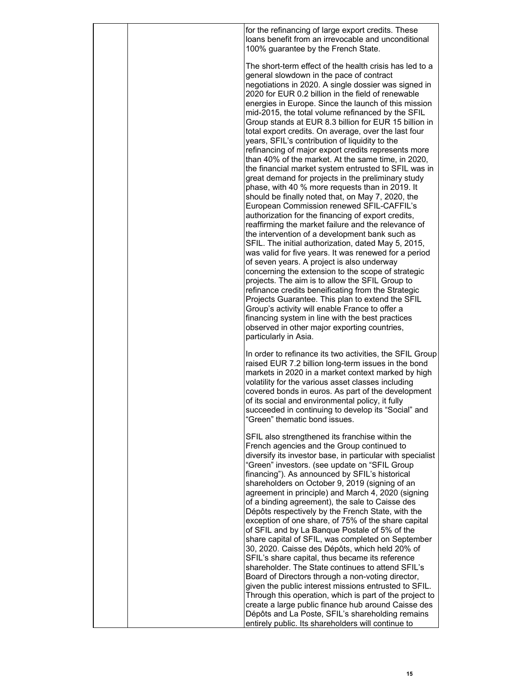|  | for the refinancing of large export credits. These<br>loans benefit from an irrevocable and unconditional<br>100% guarantee by the French State.                                                                                                                                                                                                                                                                                                                                                                                                                                                                                                                                                                                                                                                                                                                                                                                                                                                                                                                                                                                                                                                                                                                                                                                                                                                                                                                                                                                                                                        |
|--|-----------------------------------------------------------------------------------------------------------------------------------------------------------------------------------------------------------------------------------------------------------------------------------------------------------------------------------------------------------------------------------------------------------------------------------------------------------------------------------------------------------------------------------------------------------------------------------------------------------------------------------------------------------------------------------------------------------------------------------------------------------------------------------------------------------------------------------------------------------------------------------------------------------------------------------------------------------------------------------------------------------------------------------------------------------------------------------------------------------------------------------------------------------------------------------------------------------------------------------------------------------------------------------------------------------------------------------------------------------------------------------------------------------------------------------------------------------------------------------------------------------------------------------------------------------------------------------------|
|  | The short-term effect of the health crisis has led to a<br>general slowdown in the pace of contract<br>negotiations in 2020. A single dossier was signed in<br>2020 for EUR 0.2 billion in the field of renewable<br>energies in Europe. Since the launch of this mission<br>mid-2015, the total volume refinanced by the SFIL<br>Group stands at EUR 8.3 billion for EUR 15 billion in<br>total export credits. On average, over the last four<br>years, SFIL's contribution of liquidity to the<br>refinancing of major export credits represents more<br>than 40% of the market. At the same time, in 2020,<br>the financial market system entrusted to SFIL was in<br>great demand for projects in the preliminary study<br>phase, with 40 % more requests than in 2019. It<br>should be finally noted that, on May 7, 2020, the<br>European Commission renewed SFIL-CAFFIL's<br>authorization for the financing of export credits,<br>reaffirming the market failure and the relevance of<br>the intervention of a development bank such as<br>SFIL. The initial authorization, dated May 5, 2015,<br>was valid for five years. It was renewed for a period<br>of seven years. A project is also underway<br>concerning the extension to the scope of strategic<br>projects. The aim is to allow the SFIL Group to<br>refinance credits beneificating from the Strategic<br>Projects Guarantee. This plan to extend the SFIL<br>Group's activity will enable France to offer a<br>financing system in line with the best practices<br>observed in other major exporting countries, |
|  | particularly in Asia.<br>In order to refinance its two activities, the SFIL Group<br>raised EUR 7.2 billion long-term issues in the bond<br>markets in 2020 in a market context marked by high<br>volatility for the various asset classes including<br>covered bonds in euros. As part of the development<br>of its social and environmental policy, it fully<br>succeeded in continuing to develop its "Social" and<br>"Green" thematic bond issues.                                                                                                                                                                                                                                                                                                                                                                                                                                                                                                                                                                                                                                                                                                                                                                                                                                                                                                                                                                                                                                                                                                                                  |
|  | SFIL also strengthened its franchise within the<br>French agencies and the Group continued to<br>diversify its investor base, in particular with specialist<br>"Green" investors. (see update on "SFIL Group<br>financing"). As announced by SFIL's historical<br>shareholders on October 9, 2019 (signing of an<br>agreement in principle) and March 4, 2020 (signing<br>of a binding agreement), the sale to Caisse des<br>Dépôts respectively by the French State, with the<br>exception of one share, of 75% of the share capital<br>of SFIL and by La Banque Postale of 5% of the<br>share capital of SFIL, was completed on September<br>30, 2020. Caisse des Dépôts, which held 20% of<br>SFIL's share capital, thus became its reference<br>shareholder. The State continues to attend SFIL's<br>Board of Directors through a non-voting director,<br>given the public interest missions entrusted to SFIL.<br>Through this operation, which is part of the project to<br>create a large public finance hub around Caisse des<br>Dépôts and La Poste, SFIL's shareholding remains<br>entirely public. Its shareholders will continue to                                                                                                                                                                                                                                                                                                                                                                                                                                         |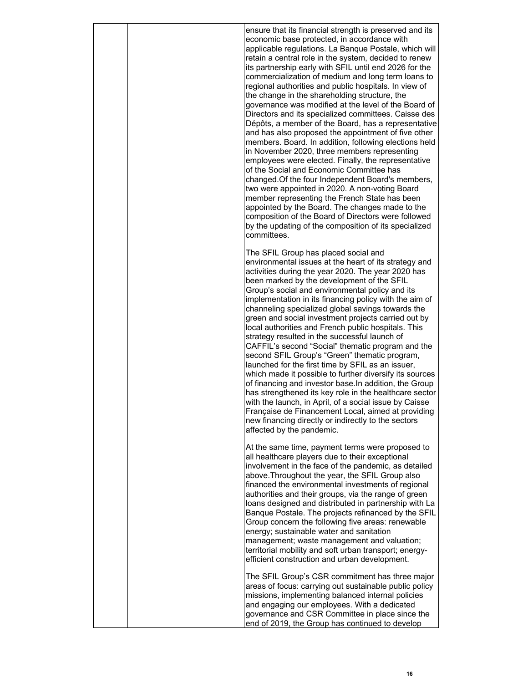| ensure that its financial strength is preserved and its<br>economic base protected, in accordance with<br>applicable regulations. La Banque Postale, which will<br>retain a central role in the system, decided to renew<br>its partnership early with SFIL until end 2026 for the<br>commercialization of medium and long term loans to<br>regional authorities and public hospitals. In view of<br>the change in the shareholding structure, the<br>governance was modified at the level of the Board of<br>Directors and its specialized committees. Caisse des<br>Dépôts, a member of the Board, has a representative<br>and has also proposed the appointment of five other<br>members. Board. In addition, following elections held<br>in November 2020, three members representing<br>employees were elected. Finally, the representative<br>of the Social and Economic Committee has<br>changed. Of the four Independent Board's members,<br>two were appointed in 2020. A non-voting Board<br>member representing the French State has been<br>appointed by the Board. The changes made to the<br>composition of the Board of Directors were followed<br>by the updating of the composition of its specialized<br>committees. |
|----------------------------------------------------------------------------------------------------------------------------------------------------------------------------------------------------------------------------------------------------------------------------------------------------------------------------------------------------------------------------------------------------------------------------------------------------------------------------------------------------------------------------------------------------------------------------------------------------------------------------------------------------------------------------------------------------------------------------------------------------------------------------------------------------------------------------------------------------------------------------------------------------------------------------------------------------------------------------------------------------------------------------------------------------------------------------------------------------------------------------------------------------------------------------------------------------------------------------------------|
| The SFIL Group has placed social and<br>environmental issues at the heart of its strategy and                                                                                                                                                                                                                                                                                                                                                                                                                                                                                                                                                                                                                                                                                                                                                                                                                                                                                                                                                                                                                                                                                                                                          |
| activities during the year 2020. The year 2020 has<br>been marked by the development of the SFIL<br>Group's social and environmental policy and its<br>implementation in its financing policy with the aim of<br>channeling specialized global savings towards the<br>green and social investment projects carried out by<br>local authorities and French public hospitals. This<br>strategy resulted in the successful launch of<br>CAFFIL's second "Social" thematic program and the<br>second SFIL Group's "Green" thematic program,<br>launched for the first time by SFIL as an issuer,<br>which made it possible to further diversify its sources<br>of financing and investor base. In addition, the Group<br>has strengthened its key role in the healthcare sector<br>with the launch, in April, of a social issue by Caisse<br>Française de Financement Local, aimed at providing<br>new financing directly or indirectly to the sectors<br>affected by the pandemic.                                                                                                                                                                                                                                                        |
| At the same time, payment terms were proposed to<br>all healthcare players due to their exceptional<br>involvement in the face of the pandemic, as detailed<br>above. Throughout the year, the SFIL Group also<br>financed the environmental investments of regional<br>authorities and their groups, via the range of green<br>loans designed and distributed in partnership with La<br>Banque Postale. The projects refinanced by the SFIL<br>Group concern the following five areas: renewable<br>energy; sustainable water and sanitation<br>management; waste management and valuation;<br>territorial mobility and soft urban transport; energy-<br>efficient construction and urban development.                                                                                                                                                                                                                                                                                                                                                                                                                                                                                                                                |
| The SFIL Group's CSR commitment has three major<br>areas of focus: carrying out sustainable public policy<br>missions, implementing balanced internal policies<br>and engaging our employees. With a dedicated<br>governance and CSR Committee in place since the<br>end of 2019, the Group has continued to develop                                                                                                                                                                                                                                                                                                                                                                                                                                                                                                                                                                                                                                                                                                                                                                                                                                                                                                                   |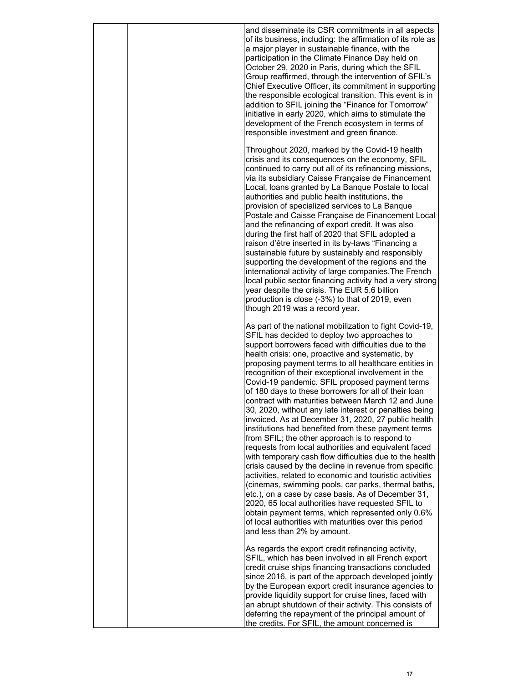|  | and disseminate its CSR commitments in all aspects<br>of its business, including: the affirmation of its role as<br>a major player in sustainable finance, with the<br>participation in the Climate Finance Day held on<br>October 29, 2020 in Paris, during which the SFIL<br>Group reaffirmed, through the intervention of SFIL's<br>Chief Executive Officer, its commitment in supporting<br>the responsible ecological transition. This event is in<br>addition to SFIL joining the "Finance for Tomorrow"<br>initiative in early 2020, which aims to stimulate the<br>development of the French ecosystem in terms of<br>responsible investment and green finance.                                                                                                                                                                                                                                                                                                                                                                                                                                                                                                                                                                                                              |
|--|--------------------------------------------------------------------------------------------------------------------------------------------------------------------------------------------------------------------------------------------------------------------------------------------------------------------------------------------------------------------------------------------------------------------------------------------------------------------------------------------------------------------------------------------------------------------------------------------------------------------------------------------------------------------------------------------------------------------------------------------------------------------------------------------------------------------------------------------------------------------------------------------------------------------------------------------------------------------------------------------------------------------------------------------------------------------------------------------------------------------------------------------------------------------------------------------------------------------------------------------------------------------------------------|
|  | Throughout 2020, marked by the Covid-19 health<br>crisis and its consequences on the economy, SFIL<br>continued to carry out all of its refinancing missions,<br>via its subsidiary Caisse Française de Financement<br>Local, loans granted by La Banque Postale to local<br>authorities and public health institutions, the<br>provision of specialized services to La Banque<br>Postale and Caisse Française de Financement Local<br>and the refinancing of export credit. It was also<br>during the first half of 2020 that SFIL adopted a<br>raison d'être inserted in its by-laws "Financing a<br>sustainable future by sustainably and responsibly<br>supporting the development of the regions and the<br>international activity of large companies. The French<br>local public sector financing activity had a very strong<br>year despite the crisis. The EUR 5.6 billion<br>production is close (-3%) to that of 2019, even<br>though 2019 was a record year.                                                                                                                                                                                                                                                                                                              |
|  | As part of the national mobilization to fight Covid-19,<br>SFIL has decided to deploy two approaches to<br>support borrowers faced with difficulties due to the<br>health crisis: one, proactive and systematic, by<br>proposing payment terms to all healthcare entities in<br>recognition of their exceptional involvement in the<br>Covid-19 pandemic. SFIL proposed payment terms<br>of 180 days to these borrowers for all of their loan<br>contract with maturities between March 12 and June<br>30, 2020, without any late interest or penalties being<br>invoiced. As at December 31, 2020, 27 public health<br>institutions had benefited from these payment terms<br>from SFIL; the other approach is to respond to<br>requests from local authorities and equivalent faced<br>with temporary cash flow difficulties due to the health<br>crisis caused by the decline in revenue from specific<br>activities, related to economic and touristic activities<br>(cinemas, swimming pools, car parks, thermal baths,<br>etc.), on a case by case basis. As of December 31,<br>2020, 65 local authorities have requested SFIL to<br>obtain payment terms, which represented only 0.6%<br>of local authorities with maturities over this period<br>and less than 2% by amount. |
|  | As regards the export credit refinancing activity,<br>SFIL, which has been involved in all French export<br>credit cruise ships financing transactions concluded<br>since 2016, is part of the approach developed jointly<br>by the European export credit insurance agencies to<br>provide liquidity support for cruise lines, faced with<br>an abrupt shutdown of their activity. This consists of<br>deferring the repayment of the principal amount of<br>the credits. For SFIL, the amount concerned is                                                                                                                                                                                                                                                                                                                                                                                                                                                                                                                                                                                                                                                                                                                                                                         |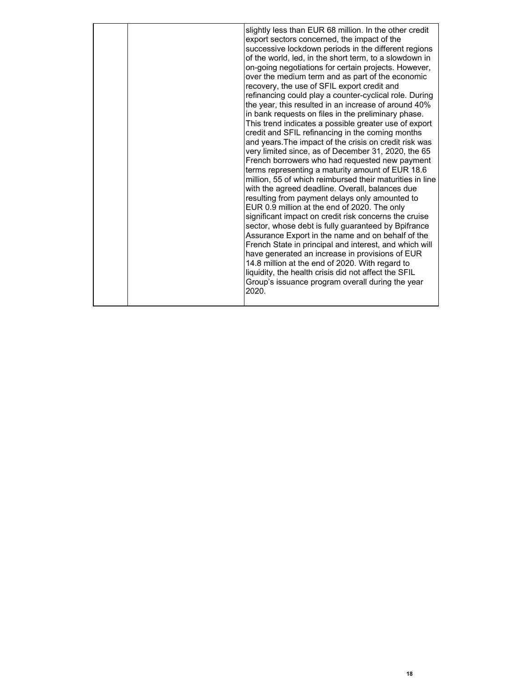|  | slightly less than EUR 68 million. In the other credit<br>export sectors concerned, the impact of the<br>successive lockdown periods in the different regions<br>of the world, led, in the short term, to a slowdown in<br>on-going negotiations for certain projects. However,<br>over the medium term and as part of the economic<br>recovery, the use of SFIL export credit and<br>refinancing could play a counter-cyclical role. During<br>the year, this resulted in an increase of around 40%<br>in bank requests on files in the preliminary phase.<br>This trend indicates a possible greater use of export<br>credit and SFIL refinancing in the coming months<br>and years. The impact of the crisis on credit risk was<br>very limited since, as of December 31, 2020, the 65<br>French borrowers who had requested new payment<br>terms representing a maturity amount of EUR 18.6<br>million, 55 of which reimbursed their maturities in line<br>with the agreed deadline. Overall, balances due<br>resulting from payment delays only amounted to<br>EUR 0.9 million at the end of 2020. The only<br>significant impact on credit risk concerns the cruise<br>sector, whose debt is fully guaranteed by Bpifrance<br>Assurance Export in the name and on behalf of the<br>French State in principal and interest, and which will<br>have generated an increase in provisions of EUR<br>14.8 million at the end of 2020. With regard to<br>liquidity, the health crisis did not affect the SFIL<br>Group's issuance program overall during the year<br>2020. |
|--|----------------------------------------------------------------------------------------------------------------------------------------------------------------------------------------------------------------------------------------------------------------------------------------------------------------------------------------------------------------------------------------------------------------------------------------------------------------------------------------------------------------------------------------------------------------------------------------------------------------------------------------------------------------------------------------------------------------------------------------------------------------------------------------------------------------------------------------------------------------------------------------------------------------------------------------------------------------------------------------------------------------------------------------------------------------------------------------------------------------------------------------------------------------------------------------------------------------------------------------------------------------------------------------------------------------------------------------------------------------------------------------------------------------------------------------------------------------------------------------------------------------------------------------------------------------------------|
|--|----------------------------------------------------------------------------------------------------------------------------------------------------------------------------------------------------------------------------------------------------------------------------------------------------------------------------------------------------------------------------------------------------------------------------------------------------------------------------------------------------------------------------------------------------------------------------------------------------------------------------------------------------------------------------------------------------------------------------------------------------------------------------------------------------------------------------------------------------------------------------------------------------------------------------------------------------------------------------------------------------------------------------------------------------------------------------------------------------------------------------------------------------------------------------------------------------------------------------------------------------------------------------------------------------------------------------------------------------------------------------------------------------------------------------------------------------------------------------------------------------------------------------------------------------------------------------|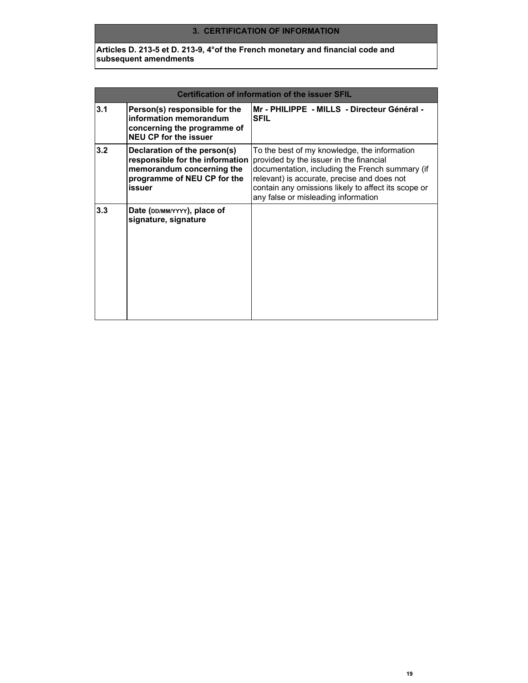#### **3. CERTIFICATION OF INFORMATION**

**Articles D. 213-5 et D. 213-9, 4°of the French monetary and financial code and subsequent amendments**

| Certification of information of the issuer SFIL |                                                                                                                                       |                                                                                                                                                                                                                                                                                         |  |
|-------------------------------------------------|---------------------------------------------------------------------------------------------------------------------------------------|-----------------------------------------------------------------------------------------------------------------------------------------------------------------------------------------------------------------------------------------------------------------------------------------|--|
| 3.1                                             | Person(s) responsible for the<br>information memorandum<br>concerning the programme of<br><b>NEU CP for the issuer</b>                | Mr - PHILIPPE  - MILLS  - Directeur Général -<br><b>SFIL</b>                                                                                                                                                                                                                            |  |
| 3.2                                             | Declaration of the person(s)<br>responsible for the information<br>memorandum concerning the<br>programme of NEU CP for the<br>issuer | To the best of my knowledge, the information<br>provided by the issuer in the financial<br>documentation, including the French summary (if<br>relevant) is accurate, precise and does not<br>contain any omissions likely to affect its scope or<br>any false or misleading information |  |
| 3.3                                             | Date (DD/MM/YYYY), place of<br>signature, signature                                                                                   |                                                                                                                                                                                                                                                                                         |  |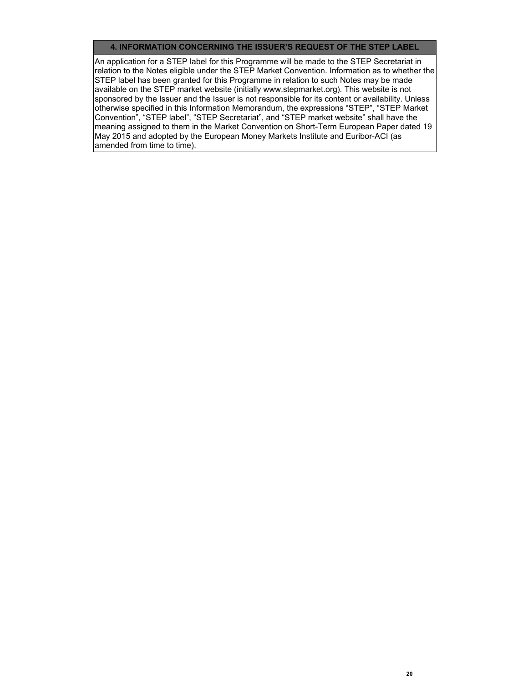#### **4. INFORMATION CONCERNING THE ISSUER'S REQUEST OF THE STEP LABEL**

An application for a STEP label for this Programme will be made to the STEP Secretariat in relation to the Notes eligible under the STEP Market Convention. Information as to whether the STEP label has been granted for this Programme in relation to such Notes may be made available on the STEP market website (initially www.stepmarket.org). This website is not sponsored by the Issuer and the Issuer is not responsible for its content or availability. Unless otherwise specified in this Information Memorandum, the expressions "STEP", "STEP Market Convention", "STEP label", "STEP Secretariat", and "STEP market website" shall have the meaning assigned to them in the Market Convention on Short-Term European Paper dated 19 May 2015 and adopted by the European Money Markets Institute and Euribor-ACI (as amended from time to time).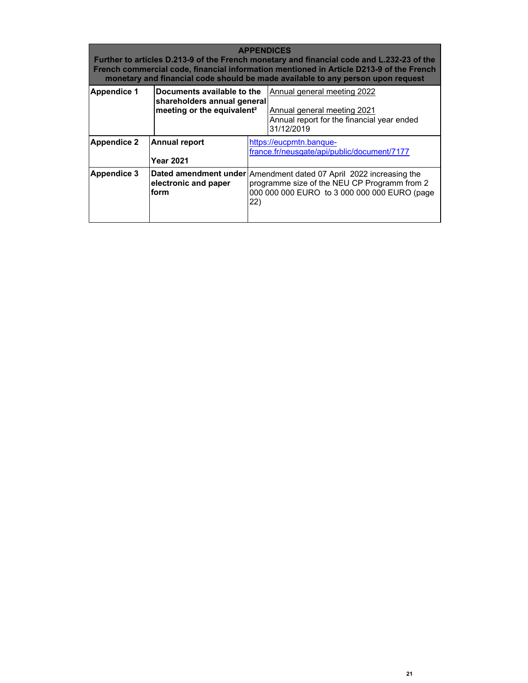| <b>APPENDICES</b><br>Further to articles D.213-9 of the French monetary and financial code and L.232-23 of the<br>French commercial code, financial information mentioned in Article D213-9 of the French<br>monetary and financial code should be made available to any person upon request |                                          |                                                                                                                                                                           |                                                                                                                        |  |  |  |  |  |
|----------------------------------------------------------------------------------------------------------------------------------------------------------------------------------------------------------------------------------------------------------------------------------------------|------------------------------------------|---------------------------------------------------------------------------------------------------------------------------------------------------------------------------|------------------------------------------------------------------------------------------------------------------------|--|--|--|--|--|
| <b>Appendice 1</b><br>Documents available to the<br>shareholders annual general<br>meeting or the equivalent <sup>2</sup>                                                                                                                                                                    |                                          |                                                                                                                                                                           | Annual general meeting 2022<br>Annual general meeting 2021<br>Annual report for the financial year ended<br>31/12/2019 |  |  |  |  |  |
| Appendice 2                                                                                                                                                                                                                                                                                  | <b>Annual report</b><br><b>Year 2021</b> |                                                                                                                                                                           | https://eucpmtn.banque-<br>france.fr/neusgate/api/public/document/7177                                                 |  |  |  |  |  |
| <b>Appendice 3</b>                                                                                                                                                                                                                                                                           | electronic and paper<br>form             | Dated amendment under Amendment dated 07 April 2022 increasing the<br>programme size of the NEU CP Programm from 2<br>000 000 000 EURO to 3 000 000 000 EURO (page<br>22) |                                                                                                                        |  |  |  |  |  |